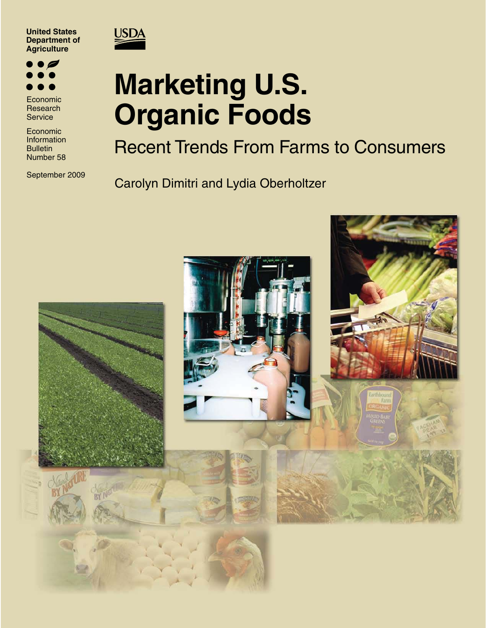



Economic Research **Service** 

Economic Information **Bulletin** Number 58

September 2009

## **USDA**

# **Marketing U.S. Organic Foods**

Recent Trends From Farms to Consumers

Carolyn Dimitri and Lydia Oberholtzer

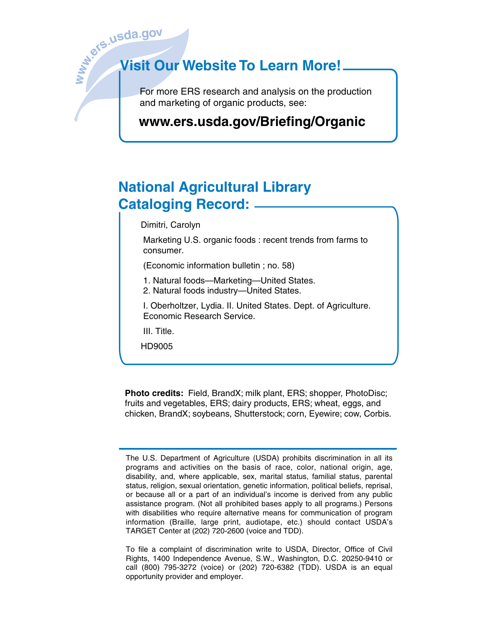I

# **Wish**<br>September 2013<br> **Wisit O Visit Our Website To Learn More!**

 For more ERS research and analysis on the production and marketing of organic products, see:

## **www.ers.usda.gov/Briefing/Organic**

## **National Agricultural Library Cataloging Record:**

Dimitri, Carolyn

 Marketing U.S. organic foods : recent trends from farms to consumer.

(Economic information bulletin ; no. 58)

1. Natural foods—Marketing—United States.

2. Natural foods industry—United States.

 I. Oberholtzer, Lydia. II. United States. Dept. of Agriculture. Economic Research Service.

III. Title.

HD9005

**Photo credits:** Field, BrandX; milk plant, ERS; shopper, PhotoDisc; fruits and vegetables, ERS; dairy products, ERS; wheat, eggs, and chicken, BrandX; soybeans, Shutterstock; corn, Eyewire; cow, Corbis.

To file a complaint of discrimination write to USDA, Director, Office of Civil Rights, 1400 Independence Avenue, S.W., Washington, D.C. 20250-9410 or call (800) 795-3272 (voice) or (202) 720-6382 (TDD). USDA is an equal opportunity provider and employer.

The U.S. Department of Agriculture (USDA) prohibits discrimination in all its programs and activities on the basis of race, color, national origin, age, disability, and, where applicable, sex, marital status, familial status, parental status, religion, sexual orientation, genetic information, political beliefs, reprisal, or because all or a part of an individual's income is derived from any public assistance program. (Not all prohibited bases apply to all programs.) Persons with disabilities who require alternative means for communication of program information (Braille, large print, audiotape, etc.) should contact USDA's TARGET Center at (202) 720-2600 (voice and TDD).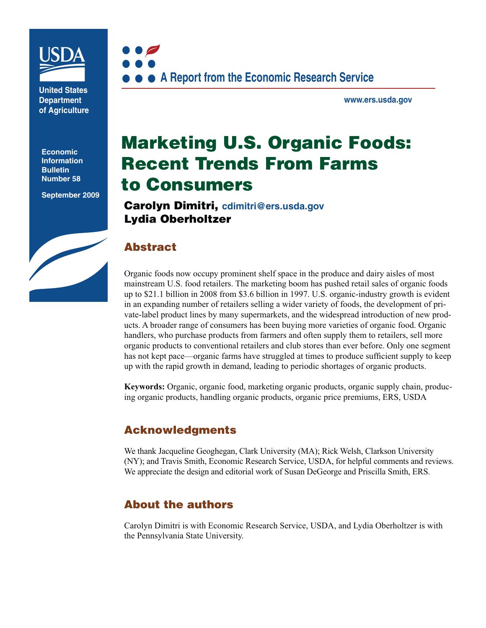

**United States Department of Agriculture** 

**Economic Information Bulletin Number 58**

**September 2009**



**www.ers.usda.gov** 

## **Marketing U.S. Organic Foods: Recent Trends From Farms to Consumers**

**Carolyn Dimitri, cdimitri@ers.usda.gov Lydia Oberholtzer**

## **Abstract**

Organic foods now occupy prominent shelf space in the produce and dairy aisles of most mainstream U.S. food retailers. The marketing boom has pushed retail sales of organic foods up to \$21.1 billion in 2008 from \$3.6 billion in 1997. U.S. organic-industry growth is evident in an expanding number of retailers selling a wider variety of foods, the development of private-label product lines by many supermarkets, and the widespread introduction of new products. A broader range of consumers has been buying more varieties of organic food. Organic handlers, who purchase products from farmers and often supply them to retailers, sell more organic products to conventional retailers and club stores than ever before. Only one segment has not kept pace—organic farms have struggled at times to produce sufficient supply to keep up with the rapid growth in demand, leading to periodic shortages of organic products.

**Keywords:** Organic, organic food, marketing organic products, organic supply chain, producing organic products, handling organic products, organic price premiums, ERS, USDA

## **Acknowledgments**

We thank Jacqueline Geoghegan, Clark University (MA); Rick Welsh, Clarkson University (NY); and Travis Smith, Economic Research Service, USDA, for helpful comments and reviews. We appreciate the design and editorial work of Susan DeGeorge and Priscilla Smith, ERS.

## **About the authors**

Carolyn Dimitri is with Economic Research Service, USDA, and Lydia Oberholtzer is with the Pennsylvania State University.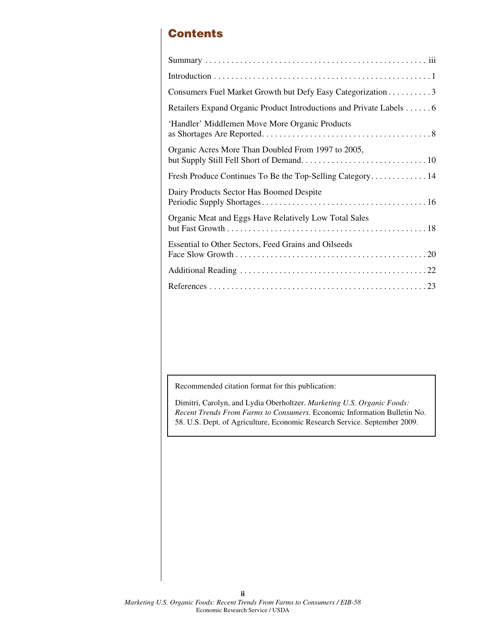## **Contents**

Recommended citation format for this publication:

Dimitri, Carolyn, and Lydia Oberholtzer. *Marketing U.S. Organic Foods: Recent Trends From Farms to Consumers*. Economic Information Bulletin No. 58. U.S. Dept. of Agriculture, Economic Research Service. September 2009.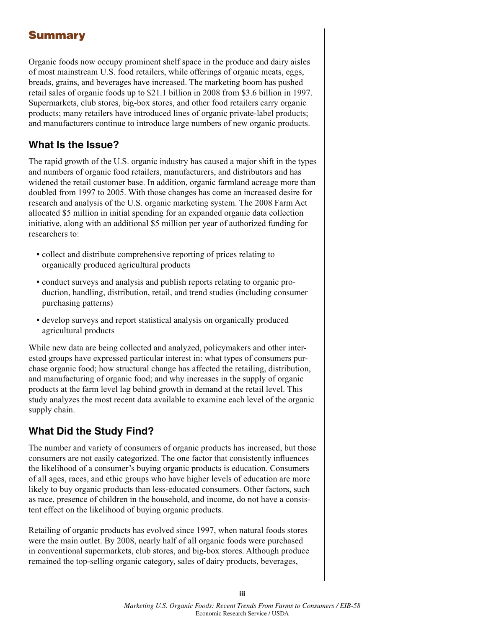## **Summary**

Organic foods now occupy prominent shelf space in the produce and dairy aisles of most mainstream U.S. food retailers, while offerings of organic meats, eggs, breads, grains, and beverages have increased. The marketing boom has pushed retail sales of organic foods up to \$21.1 billion in 2008 from \$3.6 billion in 1997. Supermarkets, club stores, big-box stores, and other food retailers carry organic products; many retailers have introduced lines of organic private-label products; and manufacturers continue to introduce large numbers of new organic products.

## **What Is the Issue?**

The rapid growth of the U.S. organic industry has caused a major shift in the types and numbers of organic food retailers, manufacturers, and distributors and has widened the retail customer base. In addition, organic farmland acreage more than doubled from 1997 to 2005. With those changes has come an increased desire for research and analysis of the U.S. organic marketing system. The 2008 Farm Act allocated \$5 million in initial spending for an expanded organic data collection initiative, along with an additional \$5 million per year of authorized funding for researchers to:

- collect and distribute comprehensive reporting of prices relating to organically produced agricultural products
- conduct surveys and analysis and publish reports relating to organic production, handling, distribution, retail, and trend studies (including consumer purchasing patterns)
- develop surveys and report statistical analysis on organically produced agricultural products

While new data are being collected and analyzed, policymakers and other interested groups have expressed particular interest in: what types of consumers purchase organic food; how structural change has affected the retailing, distribution, and manufacturing of organic food; and why increases in the supply of organic products at the farm level lag behind growth in demand at the retail level. This study analyzes the most recent data available to examine each level of the organic supply chain.

## **What Did the Study Find?**

The number and variety of consumers of organic products has increased, but those consumers are not easily categorized. The one factor that consistently influences the likelihood of a consumer's buying organic products is education. Consumers of all ages, races, and ethic groups who have higher levels of education are more likely to buy organic products than less-educated consumers. Other factors, such as race, presence of children in the household, and income, do not have a consistent effect on the likelihood of buying organic products.

Retailing of organic products has evolved since 1997, when natural foods stores were the main outlet. By 2008, nearly half of all organic foods were purchased in conventional supermarkets, club stores, and big-box stores. Although produce remained the top-selling organic category, sales of dairy products, beverages,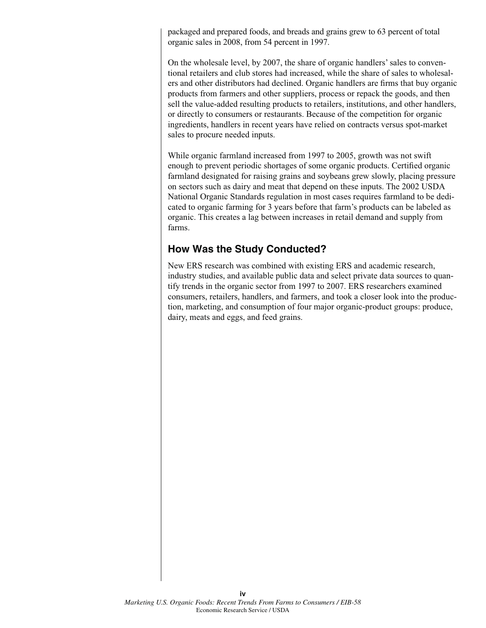packaged and prepared foods, and breads and grains grew to 63 percent of total organic sales in 2008, from 54 percent in 1997.

On the wholesale level, by 2007, the share of organic handlers' sales to conventional retailers and club stores had increased, while the share of sales to wholesalers and other distributors had declined. Organic handlers are firms that buy organic products from farmers and other suppliers, process or repack the goods, and then sell the value-added resulting products to retailers, institutions, and other handlers, or directly to consumers or restaurants. Because of the competition for organic ingredients, handlers in recent years have relied on contracts versus spot-market sales to procure needed inputs.

While organic farmland increased from 1997 to 2005, growth was not swift enough to prevent periodic shortages of some organic products. Certified organic farmland designated for raising grains and soybeans grew slowly, placing pressure on sectors such as dairy and meat that depend on these inputs. The 2002 USDA National Organic Standards regulation in most cases requires farmland to be dedicated to organic farming for 3 years before that farm's products can be labeled as organic. This creates a lag between increases in retail demand and supply from farms.

### **How Was the Study Conducted?**

New ERS research was combined with existing ERS and academic research, industry studies, and available public data and select private data sources to quantify trends in the organic sector from 1997 to 2007. ERS researchers examined consumers, retailers, handlers, and farmers, and took a closer look into the production, marketing, and consumption of four major organic-product groups: produce, dairy, meats and eggs, and feed grains.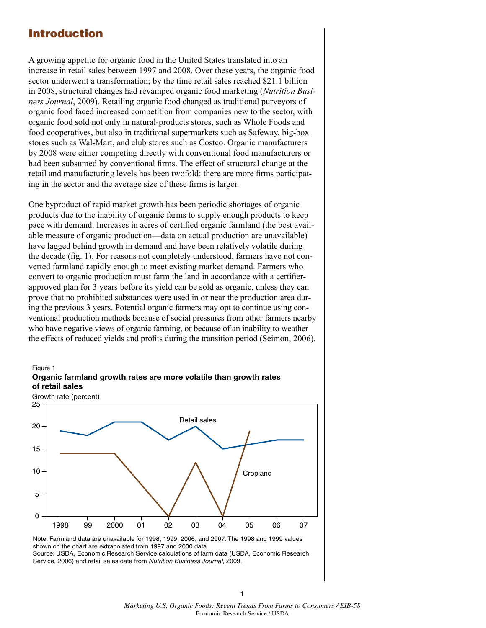## **Introduction**

Figure 1

A growing appetite for organic food in the United States translated into an increase in retail sales between 1997 and 2008. Over these years, the organic food sector underwent a transformation; by the time retail sales reached \$21.1 billion in 2008, structural changes had revamped organic food marketing (*Nutrition Business Journal*, 2009). Retailing organic food changed as traditional purveyors of organic food faced increased competition from companies new to the sector, with organic food sold not only in natural-products stores, such as Whole Foods and food cooperatives, but also in traditional supermarkets such as Safeway, big-box stores such as Wal-Mart, and club stores such as Costco. Organic manufacturers by 2008 were either competing directly with conventional food manufacturers or had been subsumed by conventional firms. The effect of structural change at the retail and manufacturing levels has been twofold: there are more firms participating in the sector and the average size of these firms is larger.

One byproduct of rapid market growth has been periodic shortages of organic products due to the inability of organic farms to supply enough products to keep pace with demand. Increases in acres of certified organic farmland (the best available measure of organic production—data on actual production are unavailable) have lagged behind growth in demand and have been relatively volatile during the decade (fig. 1). For reasons not completely understood, farmers have not converted farmland rapidly enough to meet existing market demand. Farmers who convert to organic production must farm the land in accordance with a certifierapproved plan for 3 years before its yield can be sold as organic, unless they can prove that no prohibited substances were used in or near the production area during the previous 3 years. Potential organic farmers may opt to continue using conventional production methods because of social pressures from other farmers nearby who have negative views of organic farming, or because of an inability to weather the effects of reduced yields and profits during the transition period (Seimon, 2006).



**Organic farmland growth rates are more volatile than growth rates of retail sales**

Note: Farmland data are unavailable for 1998, 1999, 2006, and 2007. The 1998 and 1999 values shown on the chart are extrapolated from 1997 and 2000 data. Source: USDA, Economic Research Service calculations of farm data (USDA, Economic Research Service, 2006) and retail sales data from Nutrition Business Journal, 2009.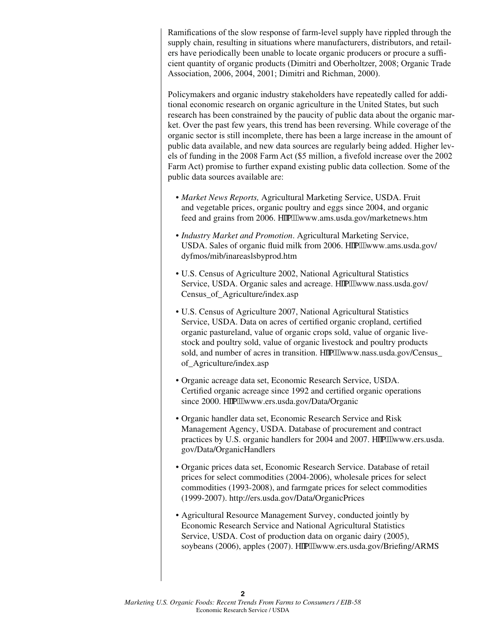Ramifications of the slow response of farm-level supply have rippled through the supply chain, resulting in situations where manufacturers, distributors, and retailers have periodically been unable to locate organic producers or procure a sufficient quantity of organic products (Dimitri and Oberholtzer, 2008; Organic Trade Association, 2006, 2004, 2001; Dimitri and Richman, 2000).

Policymakers and organic industry stakeholders have repeatedly called for additional economic research on organic agriculture in the United States, but such research has been constrained by the paucity of public data about the organic market. Over the past few years, this trend has been reversing. While coverage of the organic sector is still incomplete, there has been a large increase in the amount of public data available, and new data sources are regularly being added. Higher levels of funding in the 2008 Farm Act (\$5 million, a fivefold increase over the 2002 Farm Act) promise to further expand existing public data collection. Some of the public data sources available are:

- *sMarket News Reports,* Agricultural Marketing Service, USDA. Fruit and vegetable prices, organic poultry and eggs since 2004, and organic feed and grains from 2006. gsso9.www.ams.usda.gov/marketnews.htm
- *sIndustry Market and Promotion*. Agricultural Marketing Service, USDA. Sales of organic fluid milk from 2006. gsso9.www.ams.usda.gov/ dyfmos/mib/inareaslsbyprod.htm
- U.S. Census of Agriculture 2002, National Agricultural Statistics Service, USDA. Organic sales and acreage. gsso9.www.nass.usda.gov/ Census\_of\_Agriculture/index.asp
- U.S. Census of Agriculture 2007, National Agricultural Statistics Service, USDA. Data on acres of certified organic cropland, certified organic pastureland, value of organic crops sold, value of organic livestock and poultry sold, value of organic livestock and poultry products sold, and number of acres in transition. gsso9.www.nass.usda.gov/Census\_ of\_Agriculture/index.asp
- sOrganic acreage data set, Economic Research Service, USDA. Certified organic acreage since 1992 and certified organic operations since 2000. gsso9.www.ers.usda.gov/Data/Organic
- Organic handler data set, Economic Research Service and Risk Management Agency, USDA. Database of procurement and contract practices by U.S. organic handlers for 2004 and 2007. gsso9.www.ers.usda. gov/Data/OrganicHandlers
- Organic prices data set, Economic Research Service. Database of retail prices for select commodities (2004-2006), wholesale prices for select commodities (1993-2008), and farmgate prices for select commodities (1999-2007). http://ers.usda.gov/Data/OrganicPrices
- Agricultural Resource Management Survey, conducted jointly by Economic Research Service and National Agricultural Statistics Service, USDA. Cost of production data on organic dairy (2005), soybeans (2006), apples (2007).  $\text{gso9}.$  www.ers.usda.gov/Briefing/ARMS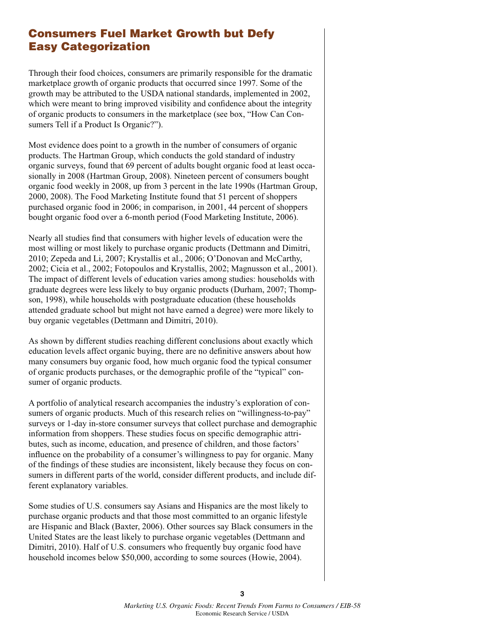## **Consumers Fuel Market Growth but Defy Easy Categorization**

Through their food choices, consumers are primarily responsible for the dramatic marketplace growth of organic products that occurred since 1997. Some of the growth may be attributed to the USDA national standards, implemented in 2002, which were meant to bring improved visibility and confidence about the integrity of organic products to consumers in the marketplace (see box, "How Can Consumers Tell if a Product Is Organic?").

Most evidence does point to a growth in the number of consumers of organic products. The Hartman Group, which conducts the gold standard of industry organic surveys, found that 69 percent of adults bought organic food at least occasionally in 2008 (Hartman Group, 2008). Nineteen percent of consumers bought organic food weekly in 2008, up from 3 percent in the late 1990s (Hartman Group, 2000, 2008). The Food Marketing Institute found that 51 percent of shoppers purchased organic food in 2006; in comparison, in 2001, 44 percent of shoppers bought organic food over a 6-month period (Food Marketing Institute, 2006).

Nearly all studies find that consumers with higher levels of education were the most willing or most likely to purchase organic products (Dettmann and Dimitri, 2010; Zepeda and Li, 2007; Krystallis et al., 2006; O'Donovan and McCarthy, 2002; Cicia et al., 2002; Fotopoulos and Krystallis, 2002; Magnusson et al., 2001). The impact of different levels of education varies among studies: households with graduate degrees were less likely to buy organic products (Durham, 2007; Thompson, 1998), while households with postgraduate education (these households attended graduate school but might not have earned a degree) were more likely to buy organic vegetables (Dettmann and Dimitri, 2010).

As shown by different studies reaching different conclusions about exactly which education levels affect organic buying, there are no definitive answers about how many consumers buy organic food, how much organic food the typical consumer of organic products purchases, or the demographic profile of the "typical" consumer of organic products.

A portfolio of analytical research accompanies the industry's exploration of consumers of organic products. Much of this research relies on "willingness-to-pay" surveys or 1-day in-store consumer surveys that collect purchase and demographic information from shoppers. These studies focus on specific demographic attributes, such as income, education, and presence of children, and those factors' influence on the probability of a consumer's willingness to pay for organic. Many of the findings of these studies are inconsistent, likely because they focus on consumers in different parts of the world, consider different products, and include different explanatory variables.

Some studies of U.S. consumers say Asians and Hispanics are the most likely to purchase organic products and that those most committed to an organic lifestyle are Hispanic and Black (Baxter, 2006). Other sources say Black consumers in the United States are the least likely to purchase organic vegetables (Dettmann and Dimitri, 2010). Half of U.S. consumers who frequently buy organic food have household incomes below \$50,000, according to some sources (Howie, 2004).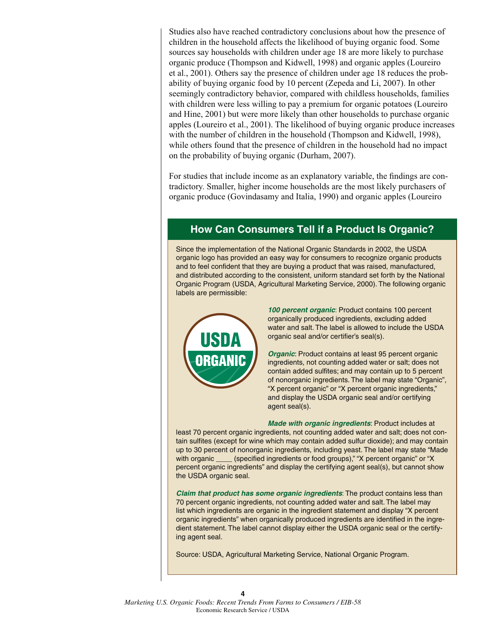Studies also have reached contradictory conclusions about how the presence of children in the household affects the likelihood of buying organic food. Some sources say households with children under age 18 are more likely to purchase organic produce (Thompson and Kidwell, 1998) and organic apples (Loureiro et al., 2001). Others say the presence of children under age 18 reduces the probability of buying organic food by 10 percent (Zepeda and Li, 2007). In other seemingly contradictory behavior, compared with childless households, families with children were less willing to pay a premium for organic potatoes (Loureiro and Hine, 2001) but were more likely than other households to purchase organic apples (Loureiro et al., 2001). The likelihood of buying organic produce increases with the number of children in the household (Thompson and Kidwell, 1998), while others found that the presence of children in the household had no impact on the probability of buying organic (Durham, 2007).

For studies that include income as an explanatory variable, the findings are contradictory. Smaller, higher income households are the most likely purchasers of organic produce (Govindasamy and Italia, 1990) and organic apples (Loureiro

## **How Can Consumers Tell if a Product Is Organic?**

Since the implementation of the National Organic Standards in 2002, the USDA organic logo has provided an easy way for consumers to recognize organic products and to feel confident that they are buying a product that was raised, manufactured, and distributed according to the consistent, uniform standard set forth by the National Organic Program (USDA, Agricultural Marketing Service, 2000). The following organic labels are permissible:



*100 percent organic*: Product contains 100 percent organically produced ingredients, excluding added water and salt. The label is allowed to include the USDA organic seal and/or certifier's seal(s).

*Organic*: Product contains at least 95 percent organic ingredients, not counting added water or salt; does not contain added sulfites; and may contain up to 5 percent of nonorganic ingredients. The label may state "Organic", "X percent organic" or "X percent organic ingredients," and display the USDA organic seal and/or certifying agent seal(s).

*Made with organic ingredients*: Product includes at least 70 percent organic ingredients, not counting added water and salt; does not contain sulfites (except for wine which may contain added sulfur dioxide); and may contain up to 30 percent of nonorganic ingredients, including yeast. The label may state "Made with organic \_\_\_\_ (specified ingredients or food groups)," "X percent organic" or "X percent organic ingredients" and display the certifying agent seal(s), but cannot show the USDA organic seal.

*Claim that product has some organic ingredients*: The product contains less than 70 percent organic ingredients, not counting added water and salt. The label may list which ingredients are organic in the ingredient statement and display "X percent organic ingredients" when organically produced ingredients are identified in the ingredient statement. The label cannot display either the USDA organic seal or the certifying agent seal.

Source: USDA, Agricultural Marketing Service, National Organic Program.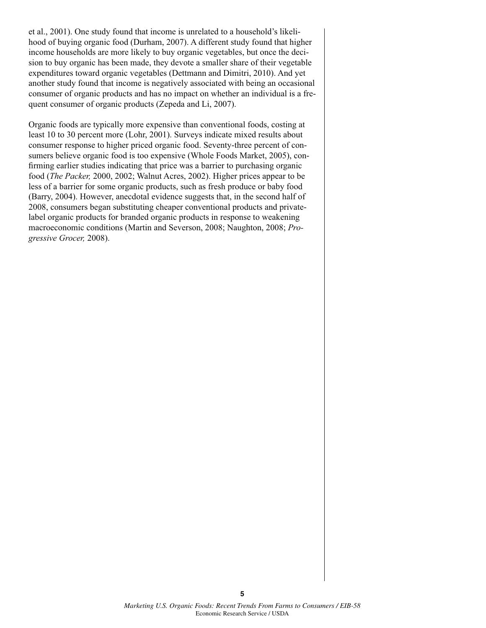et al., 2001). One study found that income is unrelated to a household's likelihood of buying organic food (Durham, 2007). A different study found that higher income households are more likely to buy organic vegetables, but once the decision to buy organic has been made, they devote a smaller share of their vegetable expenditures toward organic vegetables (Dettmann and Dimitri, 2010). And yet another study found that income is negatively associated with being an occasional consumer of organic products and has no impact on whether an individual is a frequent consumer of organic products (Zepeda and Li, 2007).

Organic foods are typically more expensive than conventional foods, costing at least 10 to 30 percent more (Lohr, 2001). Surveys indicate mixed results about consumer response to higher priced organic food. Seventy-three percent of consumers believe organic food is too expensive (Whole Foods Market, 2005), confirming earlier studies indicating that price was a barrier to purchasing organic food (*The Packer,* 2000, 2002; Walnut Acres, 2002). Higher prices appear to be less of a barrier for some organic products, such as fresh produce or baby food (Barry, 2004). However, anecdotal evidence suggests that, in the second half of 2008, consumers began substituting cheaper conventional products and privatelabel organic products for branded organic products in response to weakening macroeconomic conditions (Martin and Severson, 2008; Naughton, 2008; *Progressive Grocer,* 2008).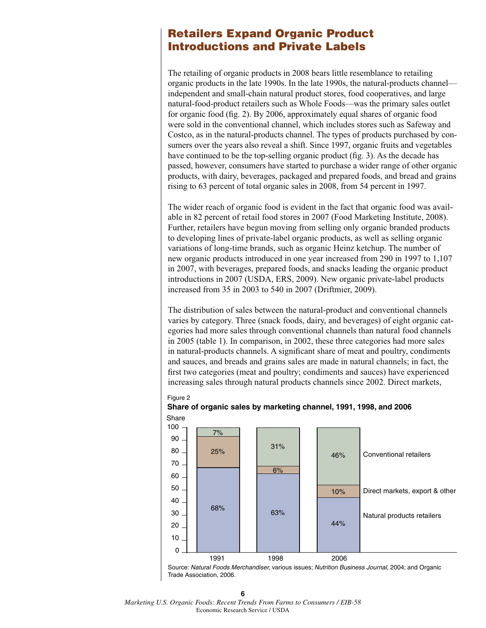## **Retailers Expand Organic Product Introductions and Private Labels**

The retailing of organic products in 2008 bears little resemblance to retailing organic products in the late 1990s. In the late 1990s, the natural-products channel independent and small-chain natural product stores, food cooperatives, and large natural-food-product retailers such as Whole Foods—was the primary sales outlet for organic food (fig. 2). By 2006, approximately equal shares of organic food were sold in the conventional channel, which includes stores such as Safeway and Costco, as in the natural-products channel. The types of products purchased by consumers over the years also reveal a shift. Since 1997, organic fruits and vegetables have continued to be the top-selling organic product (fig. 3). As the decade has passed, however, consumers have started to purchase a wider range of other organic products, with dairy, beverages, packaged and prepared foods, and bread and grains rising to 63 percent of total organic sales in 2008, from 54 percent in 1997.

The wider reach of organic food is evident in the fact that organic food was available in 82 percent of retail food stores in 2007 (Food Marketing Institute, 2008). Further, retailers have begun moving from selling only organic branded products to developing lines of private-label organic products, as well as selling organic variations of long-time brands, such as organic Heinz ketchup. The number of new organic products introduced in one year increased from 290 in 1997 to 1,107 in 2007, with beverages, prepared foods, and snacks leading the organic product introductions in 2007 (USDA, ERS, 2009). New organic private-label products increased from 35 in 2003 to 540 in 2007 (Driftmier, 2009).

The distribution of sales between the natural-product and conventional channels varies by category. Three (snack foods, dairy, and beverages) of eight organic categories had more sales through conventional channels than natural food channels in 2005 (table 1). In comparison, in 2002, these three categories had more sales in natural-products channels. A significant share of meat and poultry, condiments and sauces, and breads and grains sales are made in natural channels; in fact, the first two categories (meat and poultry; condiments and sauces) have experienced increasing sales through natural products channels since 2002. Direct markets,



**Share of organic sales by marketing channel, 1991, 1998, and 2006**

Source: Natural Foods Merchandiser, various issues; Nutrition Business Journal, 2004; and Organic Trade Association, 2006.

**6** *Marketing U.S. Organic Foods: Recent Trends From Farms to Consumers / EIB-58* Economic Research Service / USDA

Figure 2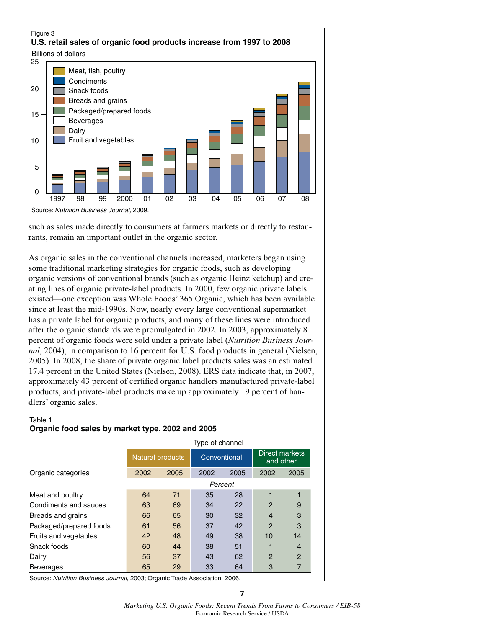## Figure 3 **U.S. retail sales of organic food products increase from 1997 to 2008**

Billions of dollars



such as sales made directly to consumers at farmers markets or directly to restaurants, remain an important outlet in the organic sector.

As organic sales in the conventional channels increased, marketers began using some traditional marketing strategies for organic foods, such as developing organic versions of conventional brands (such as organic Heinz ketchup) and creating lines of organic private-label products. In 2000, few organic private labels existed—one exception was Whole Foods' 365 Organic, which has been available since at least the mid-1990s. Now, nearly every large conventional supermarket has a private label for organic products, and many of these lines were introduced after the organic standards were promulgated in 2002. In 2003, approximately 8 percent of organic foods were sold under a private label (*Nutrition Business Journal*, 2004), in comparison to 16 percent for U.S. food products in general (Nielsen, 2005). In 2008, the share of private organic label products sales was an estimated 17.4 percent in the United States (Nielsen, 2008). ERS data indicate that, in 2007, approximately 43 percent of certified organic handlers manufactured private-label products, and private-label products make up approximately 19 percent of handlers' organic sales.

#### Table 1 **Organic food sales by market type, 2002 and 2005**

|                         | Type of channel         |      |              |      |                             |                |  |
|-------------------------|-------------------------|------|--------------|------|-----------------------------|----------------|--|
|                         | <b>Natural products</b> |      | Conventional |      | Direct markets<br>and other |                |  |
| Organic categories      | 2002                    | 2005 | 2002         | 2005 | 2002                        | 2005           |  |
|                         |                         |      | Percent      |      |                             |                |  |
| Meat and poultry        | 64                      | 71   | 35           | 28   |                             |                |  |
| Condiments and sauces   | 63                      | 69   | 34           | 22   | $\mathcal{P}$               | 9              |  |
| Breads and grains       | 66                      | 65   | 30           | 32   | $\overline{4}$              | 3              |  |
| Packaged/prepared foods | 61                      | 56   | 37           | 42   | $\mathcal{P}$               | 3              |  |
| Fruits and vegetables   | 42                      | 48   | 49           | 38   | 10                          | 14             |  |
| Snack foods             | 60                      | 44   | 38           | 51   |                             | $\overline{4}$ |  |
| Dairy                   | 56                      | 37   | 43           | 62   | $\mathcal{P}$               | $\overline{2}$ |  |
| <b>Beverages</b>        | 65                      | 29   | 33           | 64   | 3                           |                |  |

Source: Nutrition Business Journal, 2003; Organic Trade Association, 2006.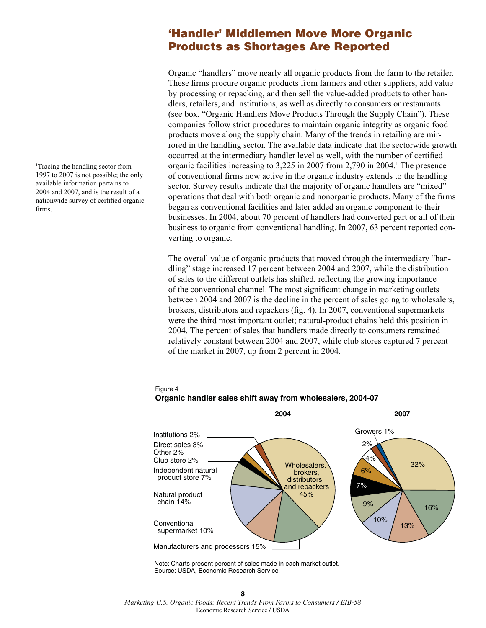1 Tracing the handling sector from 1997 to 2007 is not possible; the only available information pertains to 2004 and 2007, and is the result of a nationwide survey of certified organic firms.

## **'Handler' Middlemen Move More Organic Products as Shortages Are Reported**

Organic "handlers" move nearly all organic products from the farm to the retailer. These firms procure organic products from farmers and other suppliers, add value by processing or repacking, and then sell the value-added products to other handlers, retailers, and institutions, as well as directly to consumers or restaurants (see box, "Organic Handlers Move Products Through the Supply Chain"). These companies follow strict procedures to maintain organic integrity as organic food products move along the supply chain. Many of the trends in retailing are mirrored in the handling sector. The available data indicate that the sectorwide growth occurred at the intermediary handler level as well, with the number of certified organic facilities increasing to 3,225 in 2007 from 2,790 in 2004.<sup>1</sup> The presence of conventional firms now active in the organic industry extends to the handling sector. Survey results indicate that the majority of organic handlers are "mixed" operations that deal with both organic and nonorganic products. Many of the firms began as conventional facilities and later added an organic component to their businesses. In 2004, about 70 percent of handlers had converted part or all of their business to organic from conventional handling. In 2007, 63 percent reported converting to organic.

The overall value of organic products that moved through the intermediary "handling" stage increased 17 percent between 2004 and 2007, while the distribution of sales to the different outlets has shifted, reflecting the growing importance of the conventional channel. The most significant change in marketing outlets between 2004 and 2007 is the decline in the percent of sales going to wholesalers, brokers, distributors and repackers (fig. 4). In 2007, conventional supermarkets were the third most important outlet; natural-product chains held this position in 2004. The percent of sales that handlers made directly to consumers remained relatively constant between 2004 and 2007, while club stores captured 7 percent of the market in 2007, up from 2 percent in 2004.



#### Figure 4 **Organic handler sales shift away from wholesalers, 2004-07**

Note: Charts present percent of sales made in each market outlet. Source: USDA, Economic Research Service.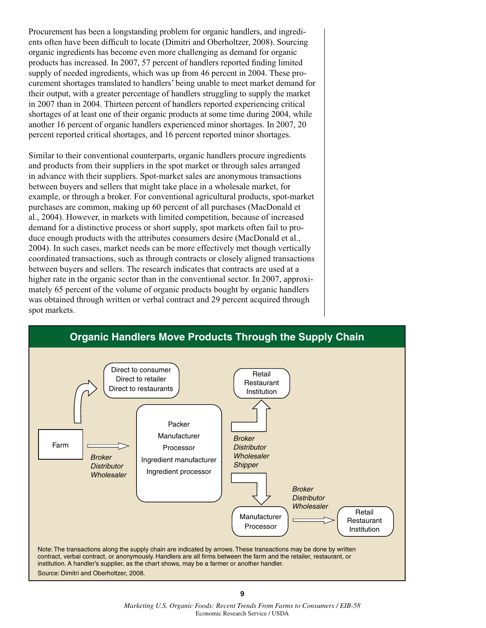Procurement has been a longstanding problem for organic handlers, and ingredients often have been difficult to locate (Dimitri and Oberholtzer, 2008). Sourcing organic ingredients has become even more challenging as demand for organic products has increased. In 2007, 57 percent of handlers reported finding limited supply of needed ingredients, which was up from 46 percent in 2004. These procurement shortages translated to handlers' being unable to meet market demand for their output, with a greater percentage of handlers struggling to supply the market in 2007 than in 2004. Thirteen percent of handlers reported experiencing critical shortages of at least one of their organic products at some time during 2004, while another 16 percent of organic handlers experienced minor shortages. In 2007, 20 percent reported critical shortages, and 16 percent reported minor shortages.

Similar to their conventional counterparts, organic handlers procure ingredients and products from their suppliers in the spot market or through sales arranged in advance with their suppliers. Spot-market sales are anonymous transactions between buyers and sellers that might take place in a wholesale market, for example, or through a broker. For conventional agricultural products, spot-market purchases are common, making up 60 percent of all purchases (MacDonald et al., 2004). However, in markets with limited competition, because of increased demand for a distinctive process or short supply, spot markets often fail to produce enough products with the attributes consumers desire (MacDonald et al., 2004). In such cases, market needs can be more effectively met though vertically coordinated transactions, such as through contracts or closely aligned transactions between buyers and sellers. The research indicates that contracts are used at a higher rate in the organic sector than in the conventional sector. In 2007, approximately 65 percent of the volume of organic products bought by organic handlers was obtained through written or verbal contract and 29 percent acquired through spot markets.



## **Organic Handlers Move Products Through the Supply Chain**

**<sup>9</sup>** *Marketing U.S. Organic Foods: Recent Trends From Farms to Consumers / EIB-58* Economic Research Service / USDA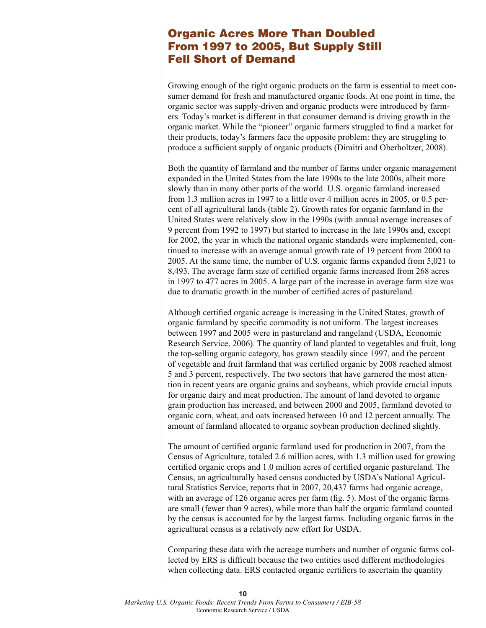## **Organic Acres More Than Doubled From 1997 to 2005, But Supply Still Fell Short of Demand**

Growing enough of the right organic products on the farm is essential to meet consumer demand for fresh and manufactured organic foods. At one point in time, the organic sector was supply-driven and organic products were introduced by farmers. Today's market is different in that consumer demand is driving growth in the organic market. While the "pioneer" organic farmers struggled to find a market for their products, today's farmers face the opposite problem: they are struggling to produce a sufficient supply of organic products (Dimitri and Oberholtzer, 2008).

Both the quantity of farmland and the number of farms under organic management expanded in the United States from the late 1990s to the late 2000s, albeit more slowly than in many other parts of the world. U.S. organic farmland increased from 1.3 million acres in 1997 to a little over 4 million acres in 2005, or 0.5 percent of all agricultural lands (table 2). Growth rates for organic farmland in the United States were relatively slow in the 1990s (with annual average increases of 9 percent from 1992 to 1997) but started to increase in the late 1990s and, except for 2002, the year in which the national organic standards were implemented, continued to increase with an average annual growth rate of 19 percent from 2000 to 2005. At the same time, the number of U.S. organic farms expanded from 5,021 to 8,493. The average farm size of certified organic farms increased from 268 acres in 1997 to 477 acres in 2005. A large part of the increase in average farm size was due to dramatic growth in the number of certified acres of pastureland.

Although certified organic acreage is increasing in the United States, growth of organic farmland by specific commodity is not uniform. The largest increases between 1997 and 2005 were in pastureland and rangeland (USDA, Economic Research Service, 2006). The quantity of land planted to vegetables and fruit, long the top-selling organic category, has grown steadily since 1997, and the percent of vegetable and fruit farmland that was certified organic by 2008 reached almost 5 and 3 percent, respectively. The two sectors that have garnered the most attention in recent years are organic grains and soybeans, which provide crucial inputs for organic dairy and meat production. The amount of land devoted to organic grain production has increased, and between 2000 and 2005, farmland devoted to organic corn, wheat, and oats increased between 10 and 12 percent annually. The amount of farmland allocated to organic soybean production declined slightly.

The amount of certified organic farmland used for production in 2007, from the Census of Agriculture, totaled 2.6 million acres, with 1.3 million used for growing certified organic crops and 1.0 million acres of certified organic pastureland. The Census, an agriculturally based census conducted by USDA's National Agricultural Statistics Service, reports that in 2007, 20,437 farms had organic acreage, with an average of 126 organic acres per farm (fig. 5). Most of the organic farms are small (fewer than 9 acres), while more than half the organic farmland counted by the census is accounted for by the largest farms. Including organic farms in the agricultural census is a relatively new effort for USDA.

Comparing these data with the acreage numbers and number of organic farms collected by ERS is difficult because the two entities used different methodologies when collecting data. ERS contacted organic certifiers to ascertain the quantity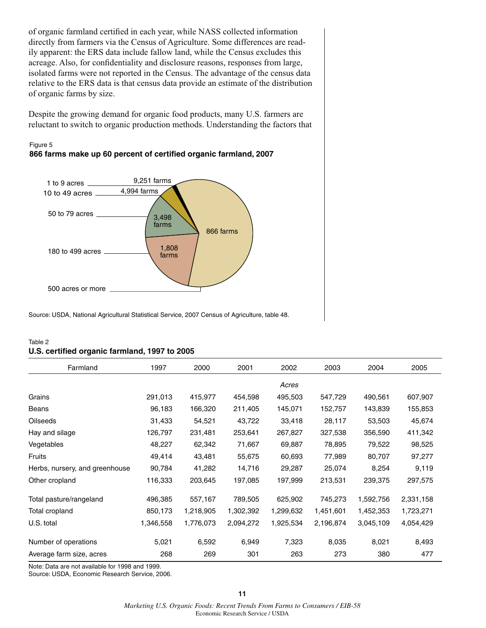of organic farmland certified in each year, while NASS collected information directly from farmers via the Census of Agriculture. Some differences are readily apparent: the ERS data include fallow land, while the Census excludes this acreage. Also, for confidentiality and disclosure reasons, responses from large, isolated farms were not reported in the Census. The advantage of the census data relative to the ERS data is that census data provide an estimate of the distribution of organic farms by size.

Despite the growing demand for organic food products, many U.S. farmers are reluctant to switch to organic production methods. Understanding the factors that





Source: USDA, National Agricultural Statistical Service, 2007 Census of Agriculture, table 48.

| Table 2                                       |  |
|-----------------------------------------------|--|
| U.S. certified organic farmland, 1997 to 2005 |  |

| Farmland                       | 1997      | 2000      | 2001      | 2002      | 2003      | 2004      | 2005      |
|--------------------------------|-----------|-----------|-----------|-----------|-----------|-----------|-----------|
|                                |           |           |           | Acres     |           |           |           |
| Grains                         | 291,013   | 415,977   | 454,598   | 495,503   | 547,729   | 490,561   | 607,907   |
| Beans                          | 96,183    | 166,320   | 211,405   | 145,071   | 152,757   | 143,839   | 155,853   |
| <b>Oilseeds</b>                | 31,433    | 54,521    | 43,722    | 33,418    | 28,117    | 53,503    | 45,674    |
| Hay and silage                 | 126,797   | 231,481   | 253,641   | 267,827   | 327,538   | 356,590   | 411,342   |
| Vegetables                     | 48,227    | 62,342    | 71,667    | 69,887    | 78,895    | 79,522    | 98,525    |
| Fruits                         | 49,414    | 43,481    | 55,675    | 60,693    | 77,989    | 80,707    | 97,277    |
| Herbs, nursery, and greenhouse | 90,784    | 41,282    | 14,716    | 29,287    | 25,074    | 8,254     | 9,119     |
| Other cropland                 | 116,333   | 203,645   | 197,085   | 197,999   | 213,531   | 239,375   | 297,575   |
| Total pasture/rangeland        | 496,385   | 557,167   | 789,505   | 625,902   | 745,273   | 1,592,756 | 2,331,158 |
| Total cropland                 | 850,173   | 1,218,905 | 1,302,392 | 1,299,632 | 1,451,601 | 1,452,353 | 1,723,271 |
| U.S. total                     | 1,346,558 | 1,776,073 | 2,094,272 | 1,925,534 | 2,196,874 | 3,045,109 | 4,054,429 |
| Number of operations           | 5,021     | 6,592     | 6,949     | 7,323     | 8,035     | 8,021     | 8,493     |
| Average farm size, acres       | 268       | 269       | 301       | 263       | 273       | 380       | 477       |

Note: Data are not available for 1998 and 1999.

Source: USDA, Economic Research Service, 2006.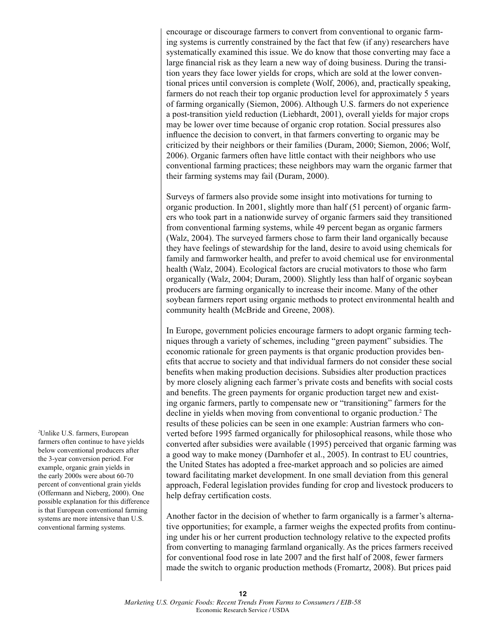encourage or discourage farmers to convert from conventional to organic farming systems is currently constrained by the fact that few (if any) researchers have systematically examined this issue. We do know that those converting may face a large financial risk as they learn a new way of doing business. During the transition years they face lower yields for crops, which are sold at the lower conventional prices until conversion is complete (Wolf, 2006), and, practically speaking, farmers do not reach their top organic production level for approximately 5 years of farming organically (Siemon, 2006). Although U.S. farmers do not experience a post-transition yield reduction (Liebhardt, 2001), overall yields for major crops may be lower over time because of organic crop rotation. Social pressures also influence the decision to convert, in that farmers converting to organic may be criticized by their neighbors or their families (Duram, 2000; Siemon, 2006; Wolf, 2006). Organic farmers often have little contact with their neighbors who use conventional farming practices; these neighbors may warn the organic farmer that their farming systems may fail (Duram, 2000).

Surveys of farmers also provide some insight into motivations for turning to organic production. In 2001, slightly more than half (51 percent) of organic farmers who took part in a nationwide survey of organic farmers said they transitioned from conventional farming systems, while 49 percent began as organic farmers (Walz, 2004). The surveyed farmers chose to farm their land organically because they have feelings of stewardship for the land, desire to avoid using chemicals for family and farmworker health, and prefer to avoid chemical use for environmental health (Walz, 2004). Ecological factors are crucial motivators to those who farm organically (Walz, 2004; Duram, 2000). Slightly less than half of organic soybean producers are farming organically to increase their income. Many of the other soybean farmers report using organic methods to protect environmental health and community health (McBride and Greene, 2008).

In Europe, government policies encourage farmers to adopt organic farming techniques through a variety of schemes, including "green payment" subsidies. The economic rationale for green payments is that organic production provides benefits that accrue to society and that individual farmers do not consider these social benefits when making production decisions. Subsidies alter production practices by more closely aligning each farmer's private costs and benefits with social costs and benefits. The green payments for organic production target new and existing organic farmers, partly to compensate new or "transitioning" farmers for the decline in yields when moving from conventional to organic production.<sup>2</sup> The results of these policies can be seen in one example: Austrian farmers who converted before 1995 farmed organically for philosophical reasons, while those who converted after subsidies were available (1995) perceived that organic farming was a good way to make money (Darnhofer et al., 2005). In contrast to EU countries, the United States has adopted a free-market approach and so policies are aimed toward facilitating market development. In one small deviation from this general approach, Federal legislation provides funding for crop and livestock producers to help defray certification costs.

Another factor in the decision of whether to farm organically is a farmer's alternative opportunities; for example, a farmer weighs the expected profits from continuing under his or her current production technology relative to the expected profits from converting to managing farmland organically. As the prices farmers received for conventional food rose in late 2007 and the first half of 2008, fewer farmers made the switch to organic production methods (Fromartz, 2008). But prices paid

*2* Unlike U.S. farmers, European farmers often continue to have yields below conventional producers after the 3-year conversion period. For example, organic grain yields in the early 2000s were about 60-70 percent of conventional grain yields (Offermann and Nieberg, 2000). One possible explanation for this difference is that European conventional farming systems are more intensive than U.S. conventional farming systems.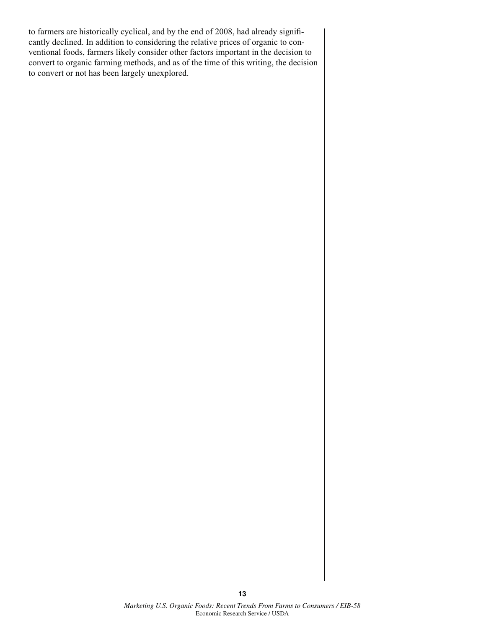to farmers are historically cyclical, and by the end of 2008, had already significantly declined. In addition to considering the relative prices of organic to conventional foods, farmers likely consider other factors important in the decision to convert to organic farming methods, and as of the time of this writing, the decision to convert or not has been largely unexplored.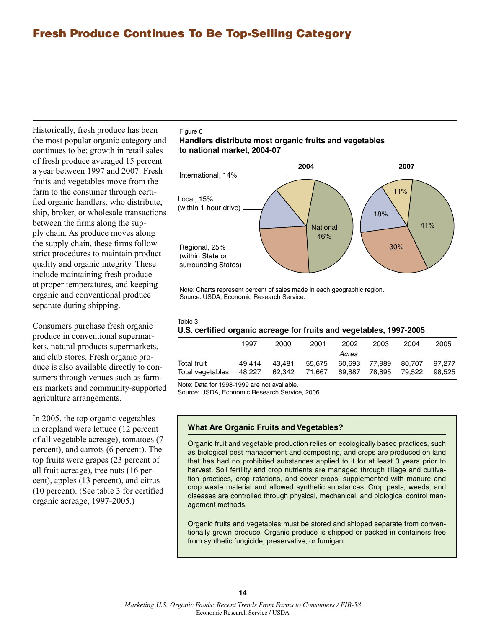## **Fresh Produce Continues To Be Top-Selling Category**

Historically, fresh produce has been the most popular organic category and continues to be; growth in retail sales of fresh produce averaged 15 percent a year between 1997 and 2007. Fresh fruits and vegetables move from the farm to the consumer through certified organic handlers, who distribute, ship, broker, or wholesale transactions between the firms along the supply chain. As produce moves along the supply chain, these firms follow strict procedures to maintain product quality and organic integrity. These include maintaining fresh produce at proper temperatures, and keeping organic and conventional produce separate during shipping.

Consumers purchase fresh organic produce in conventional supermarkets, natural products supermarkets, and club stores. Fresh organic produce is also available directly to consumers through venues such as farmers markets and community-supported agriculture arrangements.

In 2005, the top organic vegetables in cropland were lettuce (12 percent of all vegetable acreage), tomatoes (7 percent), and carrots (6 percent). The top fruits were grapes (23 percent of all fruit acreage), tree nuts (16 percent), apples (13 percent), and citrus (10 percent). (See table 3 for certified organic acreage, 1997-2005.)

#### Figure 6

#### **Handlers distribute most organic fruits and vegetables to national market, 2004-07**



Note: Charts represent percent of sales made in each geographic region. Source: USDA, Economic Research Service.

#### Table 3 **U.S. certified organic acreage for fruits and vegetables, 1997-2005**

|                  | 1997   | 2000   | 2001   | 2002   | 2003   | 2004   | 2005   |
|------------------|--------|--------|--------|--------|--------|--------|--------|
|                  |        |        |        | Acres  |        |        |        |
| Total fruit      | 49.414 | 43.481 | 55.675 | 60.693 | 77.989 | 80.707 | 97.277 |
| Total vegetables | 48.227 | 62,342 | 71.667 | 69.887 | 78.895 | 79.522 | 98.525 |

Note: Data for 1998-1999 are not available.

Source: USDA, Economic Research Service, 2006.

#### **What Are Organic Fruits and Vegetables?**

Organic fruit and vegetable production relies on ecologically based practices, such as biological pest management and composting, and crops are produced on land that has had no prohibited substances applied to it for at least 3 years prior to harvest. Soil fertility and crop nutrients are managed through tillage and cultivation practices, crop rotations, and cover crops, supplemented with manure and crop waste material and allowed synthetic substances. Crop pests, weeds, and diseases are controlled through physical, mechanical, and biological control management methods.

Organic fruits and vegetables must be stored and shipped separate from conventionally grown produce. Organic produce is shipped or packed in containers free from synthetic fungicide, preservative, or fumigant.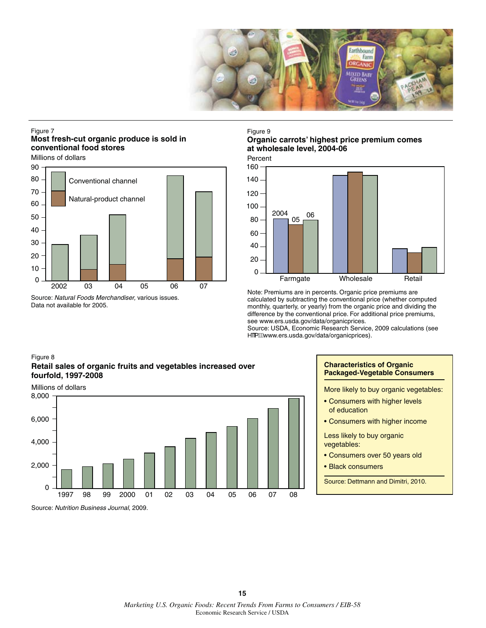

#### Figure 7 **Most fresh-cut organic produce is sold in conventional food stores**

Millions of dollars



Source: Natural Foods Merchandiser, various issues. Data not available for 2005.

#### Figure 9

#### **Organic carrots' highest price premium comes at wholesale level, 2004-06**

Percent



Note: Premiums are in percents. Organic price premiums are calculated by subtracting the conventional price (whether computed monthly, quarterly, or yearly) from the organic price and dividing the difference by the conventional price. For additional price premiums, see www.ers.usda.gov/data/organicprices.

Source: USDA, Economic Research Service, 2009 calculations (see  $\wedge$ <sup>"</sup>{ lÉwww.ers.usda.gov/data/organicprices).

#### Figure 8 **Retail sales of organic fruits and vegetables increased over fourfold, 1997-2008**



#### **Characteristics of Organic Packaged-Vegetable Consumers**

More likely to buy organic vegetables:

- Consumers with higher levels of education
- Consumers with higher income

Less likely to buy organic vegetables:

- Consumers over 50 years old
- Black consumers

Source: Dettmann and Dimitri, 2010.

Source: Nutrition Business Journal, 2009.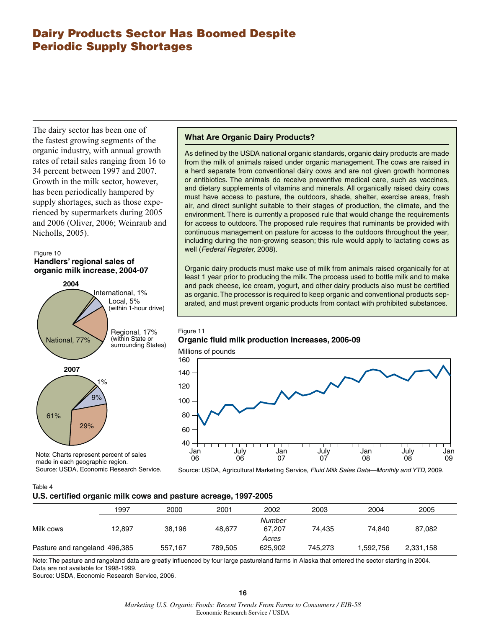## **Dairy Products Sector Has Boomed Despite Periodic Supply Shortages**

The dairy sector has been one of the fastest growing segments of the organic industry, with annual growth rates of retail sales ranging from 16 to 34 percent between 1997 and 2007. Growth in the milk sector, however, has been periodically hampered by supply shortages, such as those experienced by supermarkets during 2005 and 2006 (Oliver, 2006; Weinraub and Nicholls, 2005).

#### Figure 10 **Handlers' regional sales of organic milk increase, 2004-07**



Note: Charts represent percent of sales made in each geographic region. Source: USDA, Economic Research Service.

#### **What Are Organic Dairy Products?**

As defined by the USDA national organic standards, organic dairy products are made from the milk of animals raised under organic management. The cows are raised in a herd separate from conventional dairy cows and are not given growth hormones or antibiotics. The animals do receive preventive medical care, such as vaccines, and dietary supplements of vitamins and minerals. All organically raised dairy cows must have access to pasture, the outdoors, shade, shelter, exercise areas, fresh air, and direct sunlight suitable to their stages of production, the climate, and the environment. There is currently a proposed rule that would change the requirements for access to outdoors. The proposed rule requires that ruminants be provided with continuous management on pasture for access to the outdoors throughout the year, including during the non-growing season; this rule would apply to lactating cows as well (Federal Register, 2008).

Organic dairy products must make use of milk from animals raised organically for at least 1 year prior to producing the milk. The process used to bottle milk and to make and pack cheese, ice cream, yogurt, and other dairy products also must be certified as organic. The processor is required to keep organic and conventional products separated, and must prevent organic products from contact with prohibited substances.

#### Figure 11 **Organic fluid milk production increases, 2006-09**

Millions of pounds



Source: USDA, Agricultural Marketing Service, Fluid Milk Sales Data—Monthly and YTD, 2009.

Table 4

#### **U.S. certified organic milk cows and pasture acreage, 1997-2005**

|                               | 1997   | 2000    | 2001    | 2002    | 2003    | 2004     | 2005      |  |
|-------------------------------|--------|---------|---------|---------|---------|----------|-----------|--|
|                               |        |         |         | Number  |         |          |           |  |
| Milk cows                     | 12.897 | 38,196  | 48.677  | 67,207  | 74.435  | 74.840   | 87,082    |  |
|                               |        |         |         | Acres   |         |          |           |  |
| Pasture and rangeland 496,385 |        | 557,167 | 789.505 | 625.902 | 745.273 | .592,756 | 2,331,158 |  |
|                               |        |         |         |         |         |          |           |  |

Note: The pasture and rangeland data are greatly influenced by four large pastureland farms in Alaska that entered the sector starting in 2004. Data are not available for 1998-1999.

Source: USDA, Economic Research Service, 2006.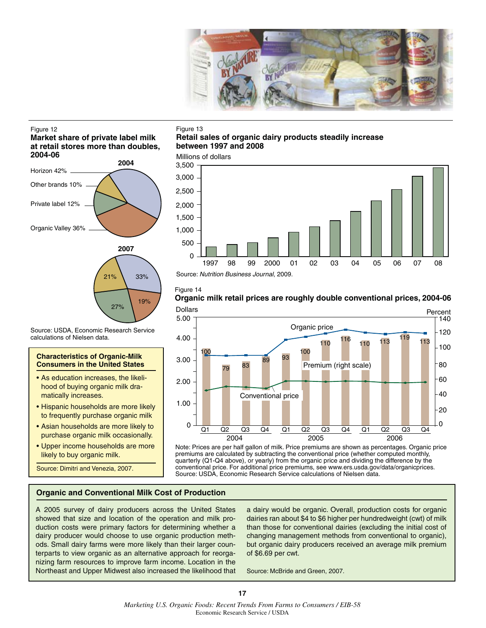

#### Figure 12

#### **Market share of private label milk at retail stores more than doubles, 2004-06**



**Characteristics of Organic-Milk Consumers in the United States** • As education increases, the likelihood of buying organic milk dra-

Source: USDA, Economic Research Service

• Hispanic households are more likely to frequently purchase organic milk • Asian households are more likely to purchase organic milk occasionally. • Upper income households are more

matically increases.

calculations of Nielsen data.

likely to buy organic milk. Source: Dimitri and Venezia, 2007.

#### Figure 13

#### **Retail sales of organic dairy products steadily increase between 1997 and 2008**





Source: Nutrition Business Journal, 2009.

#### Figure 14

19%

27%

## **Organic milk retail prices are roughly double conventional prices, 2004-06**



Note: Prices are per half gallon of milk. Price premiums are shown as percentages. Organic price premiums are calculated by subtracting the conventional price (whether computed monthly, quarterly (Q1-Q4 above), or yearly) from the organic price and dividing the difference by the conventional price. For additional price premiums, see www.ers.usda.gov/data/organicprices. Source: USDA, Economic Research Service calculations of Nielsen data.

#### **Organic and Conventional Milk Cost of Production**

A 2005 survey of dairy producers across the United States showed that size and location of the operation and milk production costs were primary factors for determining whether a dairy producer would choose to use organic production methods. Small dairy farms were more likely than their larger counterparts to view organic as an alternative approach for reorganizing farm resources to improve farm income. Location in the Northeast and Upper Midwest also increased the likelihood that a dairy would be organic. Overall, production costs for organic dairies ran about \$4 to \$6 higher per hundredweight (cwt) of milk than those for conventional dairies (excluding the initial cost of changing management methods from conventional to organic), but organic dairy producers received an average milk premium of \$6.69 per cwt.

Source: McBride and Green, 2007.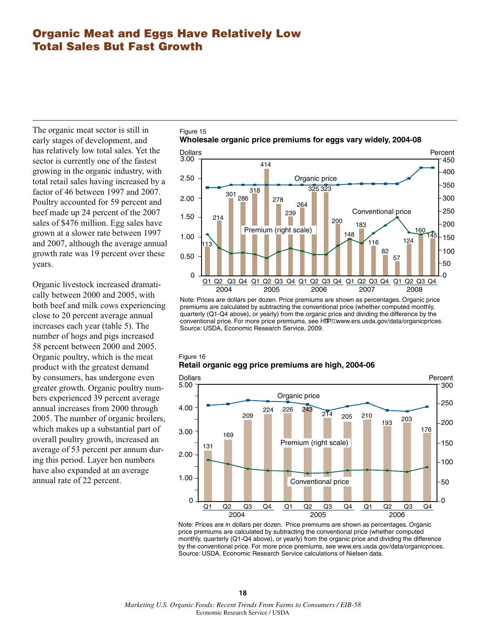## **Organic Meat and Eggs Have Relatively Low Total Sales But Fast Growth**

Figure 15

1.50

Figure 16

214

2.00

The organic meat sector is still in early stages of development, and has relatively low total sales. Yet the sector is currently one of the fastest growing in the organic industry, with total retail sales having increased by a factor of 46 between 1997 and 2007. Poultry accounted for 59 percent and beef made up 24 percent of the 2007 sales of \$476 million. Egg sales have grown at a slower rate between 1997 and 2007, although the average annual growth rate was 19 percent over these years.

Organic livestock increased dramatically between 2000 and 2005, with both beef and milk cows experiencing close to 20 percent average annual increases each year (table 5). The number of hogs and pigs increased 58 percent between 2000 and 2005. Organic poultry, which is the meat product with the greatest demand by consumers, has undergone even greater growth. Organic poultry numbers experienced 39 percent average annual increases from 2000 through 2005. The number of organic broilers, which makes up a substantial part of overall poultry growth, increased an average of 53 percent per annum during this period. Layer hen numbers have also expanded at an average annual rate of 22 percent.



278

239 264



200

Conventional price

200

250 300

183

premiums are calculated by subtracting the conventional price (whether computed monthly, quarterly (Q1-Q4 above), or yearly) from the organic price and dividing the difference by the conventional price. For more price premiums, see  $\sim$ [iffiwww.ers.usda.gov/data/organicprices. Source: USDA, Economic Research Service, 2009.





Note: Prices are in dollars per dozen. Price premiums are shown as percentages. Organic price premiums are calculated by subtracting the conventional price (whether computed monthly, quarterly (Q1-Q4 above), or yearly) from the organic price and dividing the difference by the conventional price. For more price premiums, see www.ers.usda.gov/data/organicprices. Source: USDA, Economic Research Service calculations of Nielsen data.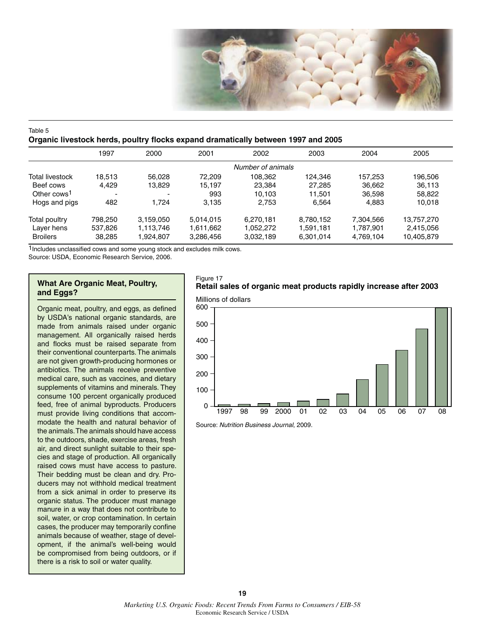

#### Table 5 **Organic livestock herds, poultry flocks expand dramatically between 1997 and 2005**

|                         | 1997    | 2000                     | 2001      | 2002              | 2003      | 2004      | 2005       |
|-------------------------|---------|--------------------------|-----------|-------------------|-----------|-----------|------------|
|                         |         |                          |           | Number of animals |           |           |            |
| Total livestock         | 18.513  | 56.028                   | 72.209    | 108.362           | 124.346   | 157.253   | 196,506    |
| Beef cows               | 4.429   | 13,829                   | 15,197    | 23.384            | 27.285    | 36,662    | 36,113     |
| Other cows <sup>1</sup> | -       | $\overline{\phantom{a}}$ | 993       | 10.103            | 11.501    | 36,598    | 58,822     |
| Hogs and pigs           | 482     | 1.724                    | 3.135     | 2,753             | 6.564     | 4,883     | 10,018     |
| Total poultry           | 798.250 | 3,159,050                | 5.014.015 | 6.270.181         | 8,780,152 | 7,304,566 | 13,757,270 |
| Laver hens              | 537,826 | 1,113,746                | 1,611,662 | 1.052.272         | 1,591,181 | 1,787,901 | 2,415,056  |
| <b>Broilers</b>         | 38,285  | 1,924,807                | 3,286,456 | 3,032,189         | 6,301,014 | 4,769,104 | 10,405,879 |

1Includes unclassified cows and some young stock and excludes milk cows.

Source: USDA, Economic Research Service, 2006.

#### **What Are Organic Meat, Poultry, and Eggs?**

Organic meat, poultry, and eggs, as defined by USDA's national organic standards, are made from animals raised under organic management. All organically raised herds and flocks must be raised separate from their conventional counterparts. The animals are not given growth-producing hormones or antibiotics. The animals receive preventive medical care, such as vaccines, and dietary supplements of vitamins and minerals. They consume 100 percent organically produced feed, free of animal byproducts. Producers must provide living conditions that accommodate the health and natural behavior of the animals. The animals should have access to the outdoors, shade, exercise areas, fresh air, and direct sunlight suitable to their species and stage of production. All organically raised cows must have access to pasture. Their bedding must be clean and dry. Producers may not withhold medical treatment from a sick animal in order to preserve its organic status. The producer must manage manure in a way that does not contribute to soil, water, or crop contamination. In certain cases, the producer may temporarily confine animals because of weather, stage of development, if the animal's well-being would be compromised from being outdoors, or if there is a risk to soil or water quality.

#### Figure 17 **Retail sales of organic meat products rapidly increase after 2003**



Source: Nutrition Business Journal, 2009.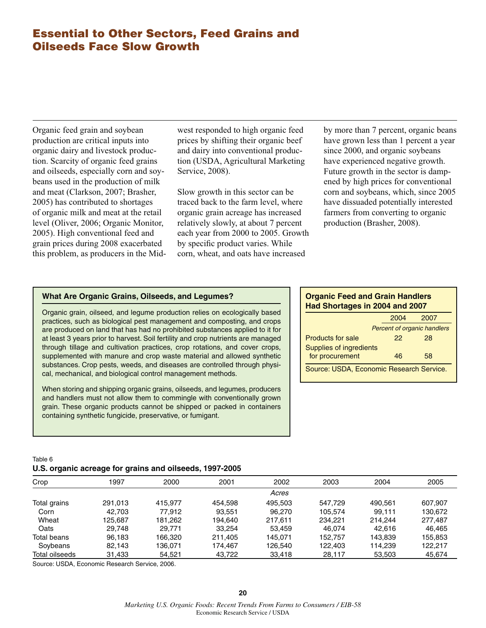## **Essential to Other Sectors, Feed Grains and Oilseeds Face Slow Growth**

Organic feed grain and soybean production are critical inputs into organic dairy and livestock production. Scarcity of organic feed grains and oilseeds, especially corn and soybeans used in the production of milk and meat (Clarkson, 2007; Brasher, 2005) has contributed to shortages of organic milk and meat at the retail level (Oliver, 2006; Organic Monitor, 2005). High conventional feed and grain prices during 2008 exacerbated this problem, as producers in the Midwest responded to high organic feed prices by shifting their organic beef and dairy into conventional production (USDA, Agricultural Marketing Service, 2008).

Slow growth in this sector can be traced back to the farm level, where organic grain acreage has increased relatively slowly, at about 7 percent each year from 2000 to 2005. Growth by specific product varies. While corn, wheat, and oats have increased

by more than 7 percent, organic beans have grown less than 1 percent a year since 2000, and organic soybeans have experienced negative growth. Future growth in the sector is dampened by high prices for conventional corn and soybeans, which, since 2005 have dissuaded potentially interested farmers from converting to organic production (Brasher, 2008).

#### **What Are Organic Grains, Oilseeds, and Legumes?**

Organic grain, oilseed, and legume production relies on ecologically based practices, such as biological pest management and composting, and crops are produced on land that has had no prohibited substances applied to it for at least 3 years prior to harvest. Soil fertility and crop nutrients are managed through tillage and cultivation practices, crop rotations, and cover crops, supplemented with manure and crop waste material and allowed synthetic substances. Crop pests, weeds, and diseases are controlled through physical, mechanical, and biological control management methods.

When storing and shipping organic grains, oilseeds, and legumes, producers and handlers must not allow them to commingle with conventionally grown grain. These organic products cannot be shipped or packed in containers containing synthetic fungicide, preservative, or fumigant.

#### **Organic Feed and Grain Handlers Had Shortages in 2004 and 2007**

|                                          | 2004 | 2007                               |  |  |  |
|------------------------------------------|------|------------------------------------|--|--|--|
|                                          |      | <b>Percent of organic handlers</b> |  |  |  |
| Products for sale                        | 22   | 28                                 |  |  |  |
| Supplies of ingredients                  |      |                                    |  |  |  |
| for procurement                          | 46   | 58                                 |  |  |  |
| Source: USDA, Economic Research Service. |      |                                    |  |  |  |

#### Table 6 **U.S. organic acreage for grains and oilseeds, 1997-2005**

| Crop           | 1997    | 2000    | 2001    | 2002    | 2003    | 2004    | 2005    |
|----------------|---------|---------|---------|---------|---------|---------|---------|
|                |         |         |         | Acres   |         |         |         |
| Total grains   | 291.013 | 415.977 | 454.598 | 495.503 | 547.729 | 490.561 | 607,907 |
| Corn           | 42.703  | 77.912  | 93.551  | 96,270  | 105.574 | 99.111  | 130.672 |
| Wheat          | 125.687 | 181.262 | 194.640 | 217.611 | 234.221 | 214.244 | 277.487 |
| Oats           | 29.748  | 29.771  | 33.254  | 53.459  | 46.074  | 42.616  | 46.465  |
| Total beans    | 96.183  | 166.320 | 211.405 | 145.071 | 152.757 | 143.839 | 155,853 |
| Soybeans       | 82.143  | 136.071 | 174.467 | 126.540 | 122.403 | 114.239 | 122.217 |
| Total oilseeds | 31,433  | 54,521  | 43,722  | 33,418  | 28,117  | 53,503  | 45,674  |

Source: USDA, Economic Research Service, 2006.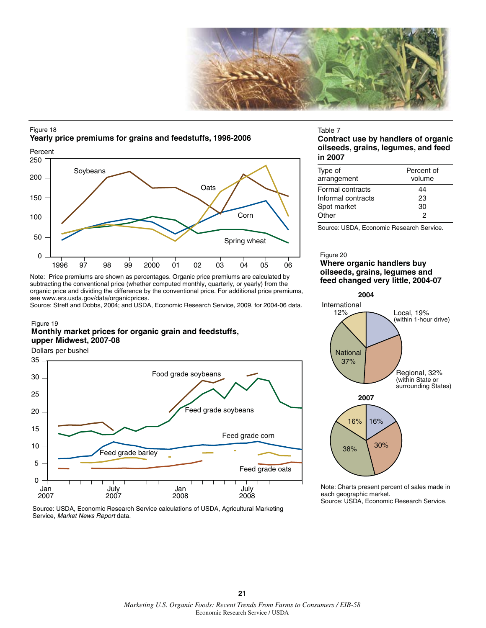

#### Figure 18 **Yearly price premiums for grains and feedstuffs, 1996-2006**



Note: Price premiums are shown as percentages. Organic price premiums are calculated by subtracting the conventional price (whether computed monthly, quarterly, or yearly) from the organic price and dividing the difference by the conventional price. For additional price premiums, see www.ers.usda.gov/data/organicprices.

Source: Streff and Dobbs, 2004; and USDA, Economic Research Service, 2009, for 2004-06 data.

#### Figure 19

#### **Monthly market prices for organic grain and feedstuffs, upper Midwest, 2007-08**

Dollars per bushel





#### Table 7

**Contract use by handlers of organic oilseeds, grains, legumes, and feed in 2007** 

| Type of            | Percent of |
|--------------------|------------|
| arrangement        | volume     |
| Formal contracts   | 44         |
| Informal contracts | 23         |
| Spot market        | 30         |
| Other              | 2          |

Source: USDA, Economic Research Service.

#### Figure 20 **Where organic handlers buy oilseeds, grains, legumes and feed changed very little, 2004-07**



Note: Charts present percent of sales made in each geographic market. Source: USDA, Economic Research Service.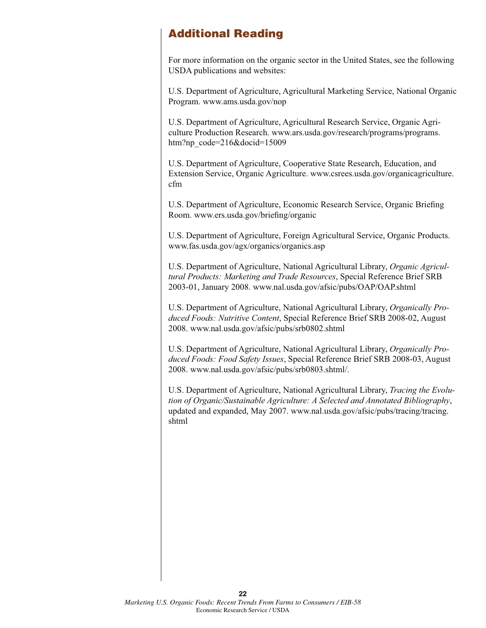## **Additional Reading**

For more information on the organic sector in the United States, see the following USDA publications and websites:

U.S. Department of Agriculture, Agricultural Marketing Service, National Organic Program. www.ams.usda.gov/nop

U.S. Department of Agriculture, Agricultural Research Service, Organic Agriculture Production Research. www.ars.usda.gov/research/programs/programs. htm?np\_code=216&docid=15009

U.S. Department of Agriculture, Cooperative State Research, Education, and Extension Service, Organic Agriculture. www.csrees.usda.gov/organicagriculture. cfm

U.S. Department of Agriculture, Economic Research Service, Organic Briefing Room. www.ers.usda.gov/briefing/organic

U.S. Department of Agriculture, Foreign Agricultural Service, Organic Products. www.fas.usda.gov/agx/organics/organics.asp

U.S. Department of Agriculture, National Agricultural Library, *Organic Agricultural Products: Marketing and Trade Resources*, Special Reference Brief SRB 2003-01, January 2008. www.nal.usda.gov/afsic/pubs/OAP/OAP.shtml

U.S. Department of Agriculture, National Agricultural Library, *Organically Produced Foods: Nutritive Content*, Special Reference Brief SRB 2008-02, August 2008. www.nal.usda.gov/afsic/pubs/srb0802.shtml

U.S. Department of Agriculture, National Agricultural Library, *Organically Produced Foods: Food Safety Issues*, Special Reference Brief SRB 2008-03, August 2008. www.nal.usda.gov/afsic/pubs/srb0803.shtml/.

U.S. Department of Agriculture, National Agricultural Library, *Tracing the Evolution of Organic/Sustainable Agriculture: A Selected and Annotated Bibliography*, updated and expanded, May 2007. www.nal.usda.gov/afsic/pubs/tracing/tracing. shtml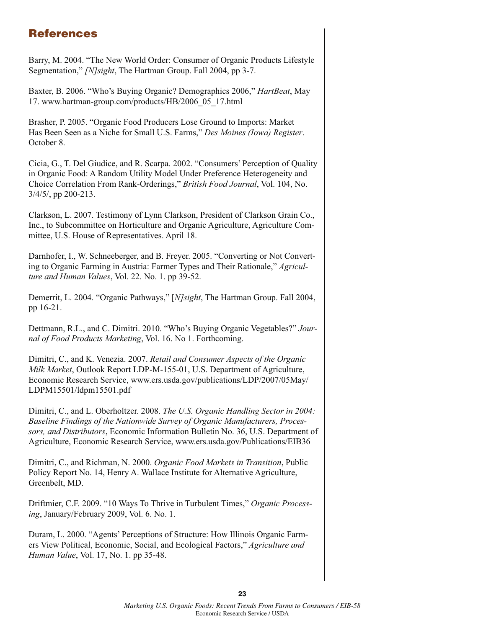## **References**

Barry, M. 2004. "The New World Order: Consumer of Organic Products Lifestyle Segmentation," *[N]sight*, The Hartman Group. Fall 2004, pp 3-7.

Baxter, B. 2006. "Who's Buying Organic? Demographics 2006," *HartBeat*, May 17. www.hartman-group.com/products/HB/2006\_05\_17.html

Brasher, P. 2005. "Organic Food Producers Lose Ground to Imports: Market Has Been Seen as a Niche for Small U.S. Farms," *Des Moines (Iowa) Register*. October 8.

Cicia, G., T. Del Giudice, and R. Scarpa. 2002. "Consumers' Perception of Quality in Organic Food: A Random Utility Model Under Preference Heterogeneity and Choice Correlation From Rank-Orderings," *British Food Journal*, Vol. 104, No. 3/4/5/, pp 200-213.

Clarkson, L. 2007. Testimony of Lynn Clarkson, President of Clarkson Grain Co., Inc., to Subcommittee on Horticulture and Organic Agriculture, Agriculture Committee, U.S. House of Representatives. April 18.

Darnhofer, I., W. Schneeberger, and B. Freyer. 2005. "Converting or Not Converting to Organic Farming in Austria: Farmer Types and Their Rationale," *Agriculture and Human Values*, Vol. 22. No. 1. pp 39-52.

Demerrit, L. 2004. "Organic Pathways," [*N]sight*, The Hartman Group. Fall 2004, pp 16-21.

Dettmann, R.L., and C. Dimitri. 2010. "Who's Buying Organic Vegetables?" *Journal of Food Products Marketing*, Vol. 16. No 1. Forthcoming.

Dimitri, C., and K. Venezia. 2007. *Retail and Consumer Aspects of the Organic Milk Market*, Outlook Report LDP-M-155-01, U.S. Department of Agriculture, Economic Research Service, www.ers.usda.gov/publications/LDP/2007/05May/ LDPM15501/ldpm15501.pdf

Dimitri, C., and L. Oberholtzer. 2008. *The U.S. Organic Handling Sector in 2004: Baseline Findings of the Nationwide Survey of Organic Manufacturers, Processors, and Distributors*, Economic Information Bulletin No. 36, U.S. Department of Agriculture, Economic Research Service, www.ers.usda.gov/Publications/EIB36

Dimitri, C., and Richman, N. 2000. *Organic Food Markets in Transition*, Public Policy Report No. 14, Henry A. Wallace Institute for Alternative Agriculture, Greenbelt, MD.

Driftmier, C.F. 2009. "10 Ways To Thrive in Turbulent Times," *Organic Processing*, January/February 2009, Vol. 6. No. 1.

Duram, L. 2000. "Agents' Perceptions of Structure: How Illinois Organic Farmers View Political, Economic, Social, and Ecological Factors," *Agriculture and Human Value*, Vol. 17, No. 1. pp 35-48.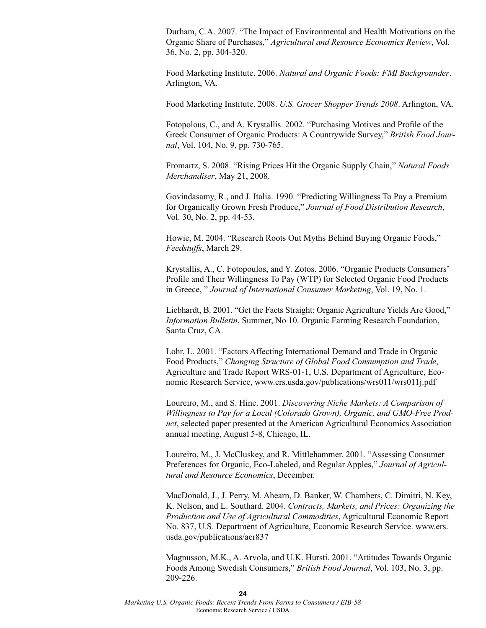Durham, C.A. 2007. "The Impact of Environmental and Health Motivations on the Organic Share of Purchases," *Agricultural and Resource Economics Review*, Vol. 36, No. 2, pp. 304-320.

Food Marketing Institute. 2006. *Natural and Organic Foods: FMI Backgrounder*. Arlington, VA.

Food Marketing Institute. 2008. *U.S. Grocer Shopper Trends 2008*. Arlington, VA.

Fotopolous, C., and A. Krystallis. 2002. "Purchasing Motives and Profile of the Greek Consumer of Organic Products: A Countrywide Survey," *British Food Journal*, Vol. 104, No. 9, pp. 730-765.

Fromartz, S. 2008. "Rising Prices Hit the Organic Supply Chain," *Natural Foods Merchandiser*, May 21, 2008.

Govindasamy, R., and J. Italia. 1990. "Predicting Willingness To Pay a Premium for Organically Grown Fresh Produce," *Journal of Food Distribution Research*, Vol. 30, No. 2, pp. 44-53.

Howie, M. 2004. "Research Roots Out Myths Behind Buying Organic Foods," *Feedstuffs*, March 29.

Krystallis, A., C. Fotopoulos, and Y. Zotos. 2006. "Organic Products Consumers' Profile and Their Willingness To Pay (WTP) for Selected Organic Food Products in Greece, " *Journal of International Consumer Marketing*, Vol. 19, No. 1.

Liebhardt, B. 2001. "Get the Facts Straight: Organic Agriculture Yields Are Good," *Information Bulletin*, Summer, No 10. Organic Farming Research Foundation, Santa Cruz, CA.

Lohr, L. 2001. "Factors Affecting International Demand and Trade in Organic Food Products," *Changing Structure of Global Food Consumption and Trade*, Agriculture and Trade Report WRS-01-1, U.S. Department of Agriculture, Economic Research Service, www.ers.usda.gov/publications/wrs011/wrs011j.pdf

Loureiro, M., and S. Hine. 2001. *Discovering Niche Markets: A Comparison of Willingness to Pay for a Local (Colorado Grown), Organic, and GMO-Free Product*, selected paper presented at the American Agricultural Economics Association annual meeting, August 5-8, Chicago, IL.

Loureiro, M., J. McCluskey, and R. Mittlehammer. 2001. "Assessing Consumer Preferences for Organic, Eco-Labeled, and Regular Apples," *Journal of Agricultural and Resource Economics*, December.

MacDonald, J., J. Perry, M. Ahearn, D. Banker, W. Chambers, C. Dimitri, N. Key, K. Nelson, and L. Southard. 2004. *Contracts, Markets, and Prices: Organizing the Production and Use of Agricultural Commodities*, Agricultural Economic Report No. 837, U.S. Department of Agriculture, Economic Research Service. www.ers. usda.gov/publications/aer837

Magnusson, M.K., A. Arvola, and U.K. Hursti. 2001. "Attitudes Towards Organic Foods Among Swedish Consumers," *British Food Journal*, Vol. 103, No. 3, pp. 209-226.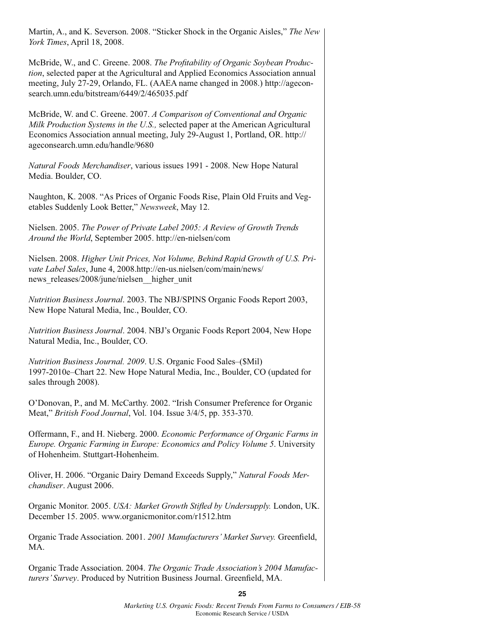Martin, A., and K. Severson. 2008. "Sticker Shock in the Organic Aisles," *The New York Times*, April 18, 2008.

McBride, W., and C. Greene. 2008. *The Profitability of Organic Soybean Production*, selected paper at the Agricultural and Applied Economics Association annual meeting, July 27-29, Orlando, FL. (AAEA name changed in 2008.) http://ageconsearch.umn.edu/bitstream/6449/2/465035.pdf

McBride, W. and C. Greene. 2007. *A Comparison of Conventional and Organic Milk Production Systems in the U.S.,* selected paper at the American Agricultural Economics Association annual meeting, July 29-August 1, Portland, OR. http:// ageconsearch.umn.edu/handle/9680

*Natural Foods Merchandiser*, various issues 1991 - 2008. New Hope Natural Media. Boulder, CO.

Naughton, K. 2008. "As Prices of Organic Foods Rise, Plain Old Fruits and Vegetables Suddenly Look Better," *Newsweek*, May 12.

Nielsen. 2005. *The Power of Private Label 2005: A Review of Growth Trends Around the World*, September 2005. http://en-nielsen/com

Nielsen. 2008. *Higher Unit Prices, Not Volume, Behind Rapid Growth of U.S. Private Label Sales*, June 4, 2008.http://en-us.nielsen/com/main/news/ news releases/2008/june/nielsen higher unit

*Nutrition Business Journal*. 2003. The NBJ/SPINS Organic Foods Report 2003, New Hope Natural Media, Inc., Boulder, CO.

*Nutrition Business Journal*. 2004. NBJ's Organic Foods Report 2004, New Hope Natural Media, Inc., Boulder, CO.

*Nutrition Business Journal. 2009*. U.S. Organic Food Sales–(\$Mil) 1997-2010e–Chart 22. New Hope Natural Media, Inc., Boulder, CO (updated for sales through 2008).

O'Donovan, P., and M. McCarthy. 2002. "Irish Consumer Preference for Organic Meat," *British Food Journal*, Vol. 104. Issue 3/4/5, pp. 353-370.

Offermann, F., and H. Nieberg. 2000. *Economic Performance of Organic Farms in Europe. Organic Farming in Europe: Economics and Policy Volume 5*. University of Hohenheim. Stuttgart-Hohenheim.

Oliver, H. 2006. "Organic Dairy Demand Exceeds Supply," *Natural Foods Merchandiser*. August 2006.

Organic Monitor. 2005. *USA: Market Growth Stifled by Undersupply.* London, UK. December 15. 2005. www.organicmonitor.com/r1512.htm

Organic Trade Association. 2001. *2001 Manufacturers' Market Survey.* Greenfield, MA.

Organic Trade Association. 2004. *The Organic Trade Association's 2004 Manufacturers' Survey*. Produced by Nutrition Business Journal. Greenfield, MA.

**25**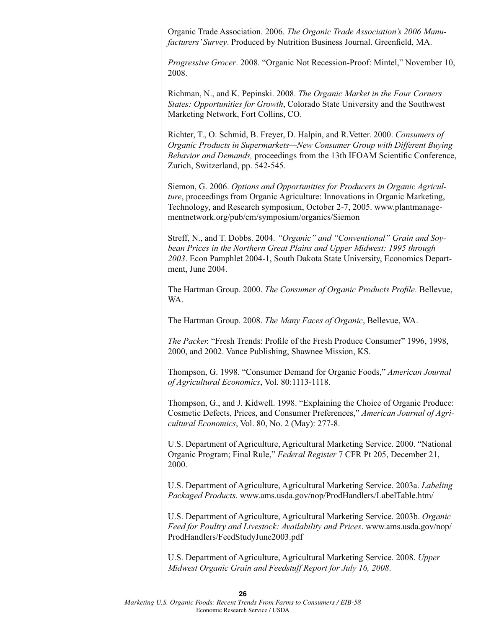Organic Trade Association. 2006. *The Organic Trade Association's 2006 Manufacturers' Survey*. Produced by Nutrition Business Journal. Greenfield, MA.

*Progressive Grocer*. 2008. "Organic Not Recession-Proof: Mintel," November 10, 2008.

Richman, N., and K. Pepinski. 2008. *The Organic Market in the Four Corners States: Opportunities for Growth*, Colorado State University and the Southwest Marketing Network, Fort Collins, CO.

Richter, T., O. Schmid, B. Freyer, D. Halpin, and R.Vetter. 2000. *Consumers of Organic Products in Supermarkets—New Consumer Group with Different Buying Behavior and Demands,* proceedings from the 13th IFOAM Scientific Conference, Zurich, Switzerland, pp. 542-545.

Siemon, G. 2006. *Options and Opportunities for Producers in Organic Agriculture*, proceedings from Organic Agriculture: Innovations in Organic Marketing, Technology, and Research symposium, October 2-7, 2005. www.plantmanagementnetwork.org/pub/cm/symposium/organics/Siemon

Streff, N., and T. Dobbs. 2004. *"Organic" and "Conventional" Grain and Soybean Prices in the Northern Great Plains and Upper Midwest: 1995 through 2003*. Econ Pamphlet 2004-1, South Dakota State University, Economics Department, June 2004.

The Hartman Group. 2000. *The Consumer of Organic Products Profile*. Bellevue, WA.

The Hartman Group. 2008. *The Many Faces of Organic*, Bellevue, WA.

*The Packer.* "Fresh Trends: Profile of the Fresh Produce Consumer" 1996, 1998, 2000, and 2002. Vance Publishing, Shawnee Mission, KS.

Thompson, G. 1998. "Consumer Demand for Organic Foods," *American Journal of Agricultural Economics*, Vol. 80:1113-1118.

Thompson, G., and J. Kidwell. 1998. "Explaining the Choice of Organic Produce: Cosmetic Defects, Prices, and Consumer Preferences," *American Journal of Agricultural Economics*, Vol. 80, No. 2 (May): 277-8.

U.S. Department of Agriculture, Agricultural Marketing Service. 2000. "National Organic Program; Final Rule," *Federal Register* 7 CFR Pt 205, December 21, 2000.

U.S. Department of Agriculture, Agricultural Marketing Service. 2003a. *Labeling Packaged Products*. www.ams.usda.gov/nop/ProdHandlers/LabelTable.htm/

U.S. Department of Agriculture, Agricultural Marketing Service. 2003b. *Organic Feed for Poultry and Livestock: Availability and Prices*. www.ams.usda.gov/nop/ ProdHandlers/FeedStudyJune2003.pdf

U.S. Department of Agriculture, Agricultural Marketing Service. 2008. *Upper Midwest Organic Grain and Feedstuff Report for July 16, 2008*.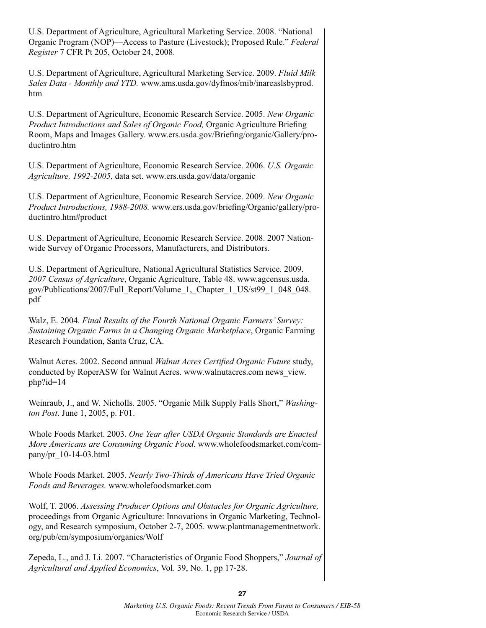U.S. Department of Agriculture, Agricultural Marketing Service. 2008. "National Organic Program (NOP)—Access to Pasture (Livestock); Proposed Rule." *Federal Register* 7 CFR Pt 205, October 24, 2008.

U.S. Department of Agriculture, Agricultural Marketing Service. 2009. *Fluid Milk Sales Data - Monthly and YTD.* www.ams.usda.gov/dyfmos/mib/inareaslsbyprod. htm

U.S. Department of Agriculture, Economic Research Service. 2005. *New Organic Product Introductions and Sales of Organic Food,* Organic Agriculture Briefing Room, Maps and Images Gallery. www.ers.usda.gov/Briefing/organic/Gallery/productintro.htm

U.S. Department of Agriculture, Economic Research Service. 2006. *U.S. Organic Agriculture, 1992-2005*, data set. www.ers.usda.gov/data/organic

U.S. Department of Agriculture, Economic Research Service. 2009. *New Organic Product Introductions, 1988-2008.* www.ers.usda.gov/briefing/Organic/gallery/productintro.htm#product

U.S. Department of Agriculture, Economic Research Service. 2008. 2007 Nationwide Survey of Organic Processors, Manufacturers, and Distributors.

U.S. Department of Agriculture, National Agricultural Statistics Service. 2009. *2007 Census of Agriculture*, Organic Agriculture, Table 48. www.agcensus.usda. gov/Publications/2007/Full\_Report/Volume\_1,\_Chapter\_1\_US/st99\_1\_048\_048. pdf

Walz, E. 2004. *Final Results of the Fourth National Organic Farmers' Survey: Sustaining Organic Farms in a Changing Organic Marketplace*, Organic Farming Research Foundation, Santa Cruz, CA.

Walnut Acres. 2002. Second annual *Walnut Acres Certified Organic Future* study, conducted by RoperASW for Walnut Acres. www.walnutacres.com news\_view. php?id=14

Weinraub, J., and W. Nicholls. 2005. "Organic Milk Supply Falls Short," *Washington Post*. June 1, 2005, p. F01.

Whole Foods Market. 2003. *One Year after USDA Organic Standards are Enacted More Americans are Consuming Organic Food*. www.wholefoodsmarket.com/company/pr\_10-14-03.html

Whole Foods Market. 2005. *Nearly Two-Thirds of Americans Have Tried Organic Foods and Beverages.* www.wholefoodsmarket.com

Wolf, T. 2006. *Assessing Producer Options and Obstacles for Organic Agriculture,*  proceedings from Organic Agriculture: Innovations in Organic Marketing, Technology, and Research symposium, October 2-7, 2005. www.plantmanagementnetwork. org/pub/cm/symposium/organics/Wolf

Zepeda, L., and J. Li. 2007. "Characteristics of Organic Food Shoppers," *Journal of Agricultural and Applied Economics*, Vol. 39, No. 1, pp 17-28.